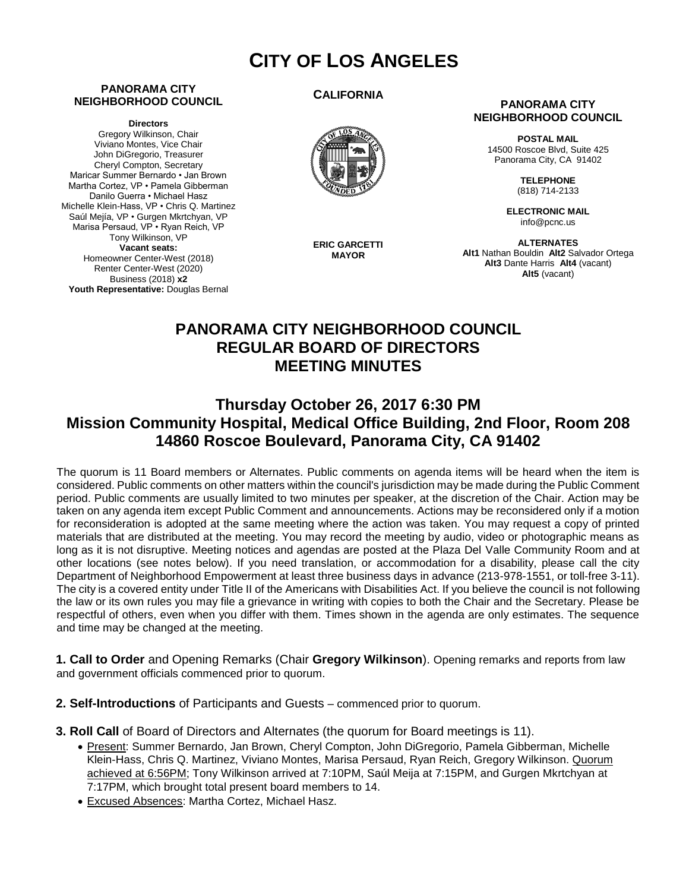# **CITY OF LOS ANGELES**

#### **PANORAMA CITY NEIGHBORHOOD COUNCIL**

**Directors**

Gregory Wilkinson, Chair Viviano Montes, Vice Chair John DiGregorio, Treasurer Cheryl Compton, Secretary Maricar Summer Bernardo • Jan Brown Martha Cortez, VP • Pamela Gibberman Danilo Guerra • Michael Hasz Michelle Klein-Hass, VP • Chris Q. Martinez Saúl Mejía, VP • Gurgen Mkrtchyan, VP Marisa Persaud, VP • Ryan Reich, VP Tony Wilkinson, VP **Vacant seats:**  Homeowner Center-West (2018) Renter Center-West (2020) Business (2018) **x2 Youth Representative:** Douglas Bernal

#### **CALIFORNIA**



**ERIC GARCETTI MAYOR**

#### **PANORAMA CITY NEIGHBORHOOD COUNCIL**

**POSTAL MAIL** 14500 Roscoe Blvd, Suite 425 Panorama City, CA 91402

> **TELEPHONE** (818) 714-2133

**ELECTRONIC MAIL** info@pcnc.us

**ALTERNATES Alt1** Nathan Bouldin **Alt2** Salvador Ortega **Alt3** Dante Harris **Alt4** (vacant) **Alt5** (vacant)

## **PANORAMA CITY NEIGHBORHOOD COUNCIL REGULAR BOARD OF DIRECTORS MEETING MINUTES**

## **Thursday October 26, 2017 6:30 PM Mission Community Hospital, Medical Office Building, 2nd Floor, Room 208 14860 Roscoe Boulevard, Panorama City, CA 91402**

The quorum is 11 Board members or Alternates. Public comments on agenda items will be heard when the item is considered. Public comments on other matters within the council's jurisdiction may be made during the Public Comment period. Public comments are usually limited to two minutes per speaker, at the discretion of the Chair. Action may be taken on any agenda item except Public Comment and announcements. Actions may be reconsidered only if a motion for reconsideration is adopted at the same meeting where the action was taken. You may request a copy of printed materials that are distributed at the meeting. You may record the meeting by audio, video or photographic means as long as it is not disruptive. Meeting notices and agendas are posted at the Plaza Del Valle Community Room and at other locations (see notes below). If you need translation, or accommodation for a disability, please call the city Department of Neighborhood Empowerment at least three business days in advance (213-978-1551, or toll-free 3-11). The city is a covered entity under Title II of the Americans with Disabilities Act. If you believe the council is not following the law or its own rules you may file a grievance in writing with copies to both the Chair and the Secretary. Please be respectful of others, even when you differ with them. Times shown in the agenda are only estimates. The sequence and time may be changed at the meeting.

**1. Call to Order** and Opening Remarks (Chair **Gregory Wilkinson**). Opening remarks and reports from law and government officials commenced prior to quorum.

**2. Self-Introductions** of Participants and Guests – commenced prior to quorum.

**3. Roll Call** of Board of Directors and Alternates (the quorum for Board meetings is 11).

- Present: Summer Bernardo, Jan Brown, Cheryl Compton, John DiGregorio, Pamela Gibberman, Michelle Klein-Hass, Chris Q. Martinez, Viviano Montes, Marisa Persaud, Ryan Reich, Gregory Wilkinson. Quorum achieved at 6:56PM; Tony Wilkinson arrived at 7:10PM, Saúl Meija at 7:15PM, and Gurgen Mkrtchyan at 7:17PM, which brought total present board members to 14.
- Excused Absences: Martha Cortez, Michael Hasz.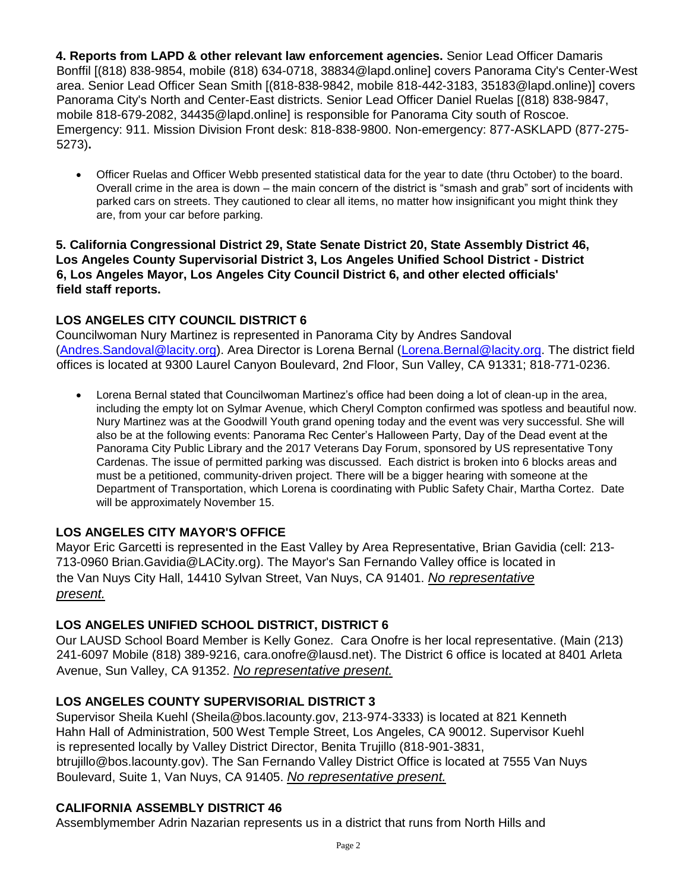**4. Reports from LAPD & other relevant law enforcement agencies.** Senior Lead Officer Damaris Bonffil [(818) 838-9854, mobile (818) 634-0718, 38834@lapd.online] covers Panorama City's Center-West area. Senior Lead Officer Sean Smith [(818-838-9842, mobile 818-442-3183, 35183@lapd.online)] covers Panorama City's North and Center-East districts. Senior Lead Officer Daniel Ruelas [(818) 838-9847, mobile 818-679-2082, 34435@lapd.online] is responsible for Panorama City south of Roscoe. Emergency: 911. Mission Division Front desk: 818-838-9800. Non-emergency: 877-ASKLAPD (877-275- 5273)**.** 

• Officer Ruelas and Officer Webb presented statistical data for the year to date (thru October) to the board. Overall crime in the area is down – the main concern of the district is "smash and grab" sort of incidents with parked cars on streets. They cautioned to clear all items, no matter how insignificant you might think they are, from your car before parking.

#### **5. California Congressional District 29, State Senate District 20, State Assembly District 46, Los Angeles County Supervisorial District 3, Los Angeles Unified School District - District 6, Los Angeles Mayor, Los Angeles City Council District 6, and other elected officials' field staff reports.**

### **LOS ANGELES CITY COUNCIL DISTRICT 6**

Councilwoman Nury Martinez is represented in Panorama City by Andres Sandoval (Andres.Sandoval@lacity.org). Area Director is Lorena Bernal (Lorena.Bernal@lacity.org. The district field offices is located at 9300 Laurel Canyon Boulevard, 2nd Floor, Sun Valley, CA 91331; 818-771-0236.

• Lorena Bernal stated that Councilwoman Martinez's office had been doing a lot of clean-up in the area, including the empty lot on Sylmar Avenue, which Cheryl Compton confirmed was spotless and beautiful now. Nury Martinez was at the Goodwill Youth grand opening today and the event was very successful. She will also be at the following events: Panorama Rec Center's Halloween Party, Day of the Dead event at the Panorama City Public Library and the 2017 Veterans Day Forum, sponsored by US representative Tony Cardenas. The issue of permitted parking was discussed. Each district is broken into 6 blocks areas and must be a petitioned, community-driven project. There will be a bigger hearing with someone at the Department of Transportation, which Lorena is coordinating with Public Safety Chair, Martha Cortez. Date will be approximately November 15.

### **LOS ANGELES CITY MAYOR'S OFFICE**

Mayor Eric Garcetti is represented in the East Valley by Area Representative, Brian Gavidia (cell: 213- 713-0960 Brian.Gavidia@LACity.org). The Mayor's San Fernando Valley office is located in the Van Nuys City Hall, 14410 Sylvan Street, Van Nuys, CA 91401. *No representative present.*

### **LOS ANGELES UNIFIED SCHOOL DISTRICT, DISTRICT 6**

Our LAUSD School Board Member is Kelly Gonez. Cara Onofre is her local representative. (Main (213) 241-6097 Mobile (818) 389-9216, cara.onofre@lausd.net). The District 6 office is located at 8401 Arleta Avenue, Sun Valley, CA 91352. *No representative present.*

### **LOS ANGELES COUNTY SUPERVISORIAL DISTRICT 3**

Supervisor Sheila Kuehl (Sheila@bos.lacounty.gov, 213-974-3333) is located at 821 Kenneth Hahn Hall of Administration, 500 West Temple Street, Los Angeles, CA 90012. Supervisor Kuehl is represented locally by Valley District Director, Benita Trujillo (818-901-3831, btrujillo@bos.lacounty.gov). The San Fernando Valley District Office is located at 7555 Van Nuys Boulevard, Suite 1, Van Nuys, CA 91405. *No representative present.*

### **CALIFORNIA ASSEMBLY DISTRICT 46**

Assemblymember Adrin Nazarian represents us in a district that runs from North Hills and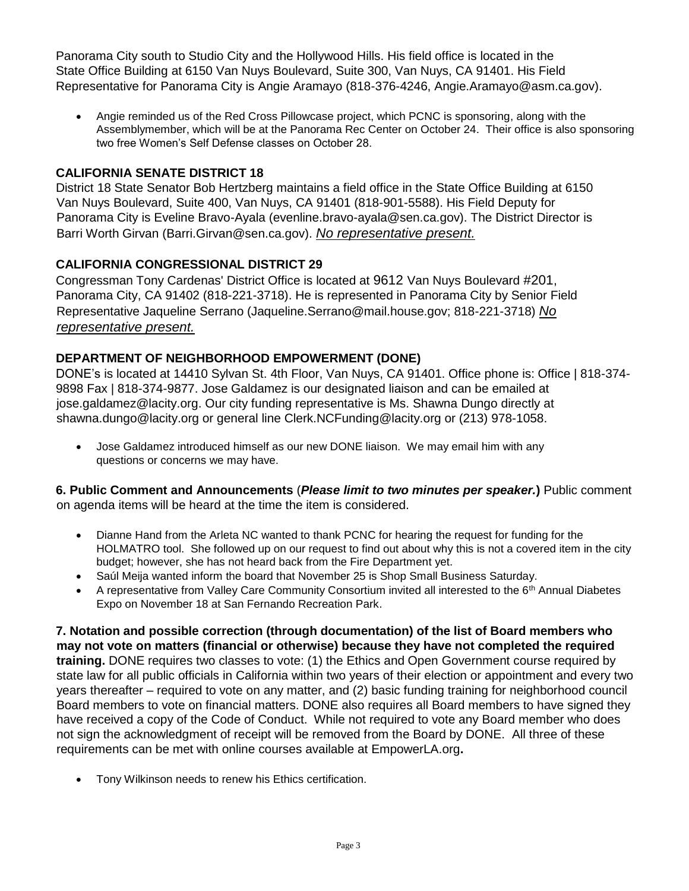Panorama City south to Studio City and the Hollywood Hills. His field office is located in the State Office Building at 6150 Van Nuys Boulevard, Suite 300, Van Nuys, CA 91401. His Field Representative for Panorama City is Angie Aramayo (818-376-4246, Angie.Aramayo@asm.ca.gov).

• Angie reminded us of the Red Cross Pillowcase project, which PCNC is sponsoring, along with the Assemblymember, which will be at the Panorama Rec Center on October 24. Their office is also sponsoring two free Women's Self Defense classes on October 28.

#### **CALIFORNIA SENATE DISTRICT 18**

District 18 State Senator Bob Hertzberg maintains a field office in the State Office Building at 6150 Van Nuys Boulevard, Suite 400, Van Nuys, CA 91401 (818-901-5588). His Field Deputy for Panorama City is Eveline Bravo-Ayala (evenline.bravo-ayala@sen.ca.gov). The District Director is Barri Worth Girvan (Barri.Girvan@sen.ca.gov). *No representative present.*

#### **CALIFORNIA CONGRESSIONAL DISTRICT 29**

Congressman Tony Cardenas' District Office is located at 9612 Van Nuys Boulevard #201, Panorama City, CA 91402 (818-221-3718). He is represented in Panorama City by Senior Field Representative Jaqueline Serrano (Jaqueline.Serrano@mail.house.gov; 818-221-3718) *No representative present.*

#### **DEPARTMENT OF NEIGHBORHOOD EMPOWERMENT (DONE)**

DONE's is located at 14410 Sylvan St. 4th Floor, Van Nuys, CA 91401. Office phone is: Office | 818-374- 9898 Fax | 818-374-9877. Jose Galdamez is our designated liaison and can be emailed at jose.galdamez@lacity.org. Our city funding representative is Ms. Shawna Dungo directly at shawna.dungo@lacity.org or general line Clerk.NCFunding@lacity.org or (213) 978-1058.

• Jose Galdamez introduced himself as our new DONE liaison. We may email him with any questions or concerns we may have.

**6. Public Comment and Announcements** (*Please limit to two minutes per speaker.***)** Public comment on agenda items will be heard at the time the item is considered.

- Dianne Hand from the Arleta NC wanted to thank PCNC for hearing the request for funding for the HOLMATRO tool. She followed up on our request to find out about why this is not a covered item in the city budget; however, she has not heard back from the Fire Department yet.
- Saúl Meija wanted inform the board that November 25 is Shop Small Business Saturday.
- A representative from Valley Care Community Consortium invited all interested to the 6th Annual Diabetes Expo on November 18 at San Fernando Recreation Park.

**7. Notation and possible correction (through documentation) of the list of Board members who may not vote on matters (financial or otherwise) because they have not completed the required training.** DONE requires two classes to vote: (1) the Ethics and Open Government course required by state law for all public officials in California within two years of their election or appointment and every two years thereafter – required to vote on any matter, and (2) basic funding training for neighborhood council Board members to vote on financial matters. DONE also requires all Board members to have signed they have received a copy of the Code of Conduct. While not required to vote any Board member who does not sign the acknowledgment of receipt will be removed from the Board by DONE. All three of these requirements can be met with online courses available at EmpowerLA.org**.**

• Tony Wilkinson needs to renew his Ethics certification.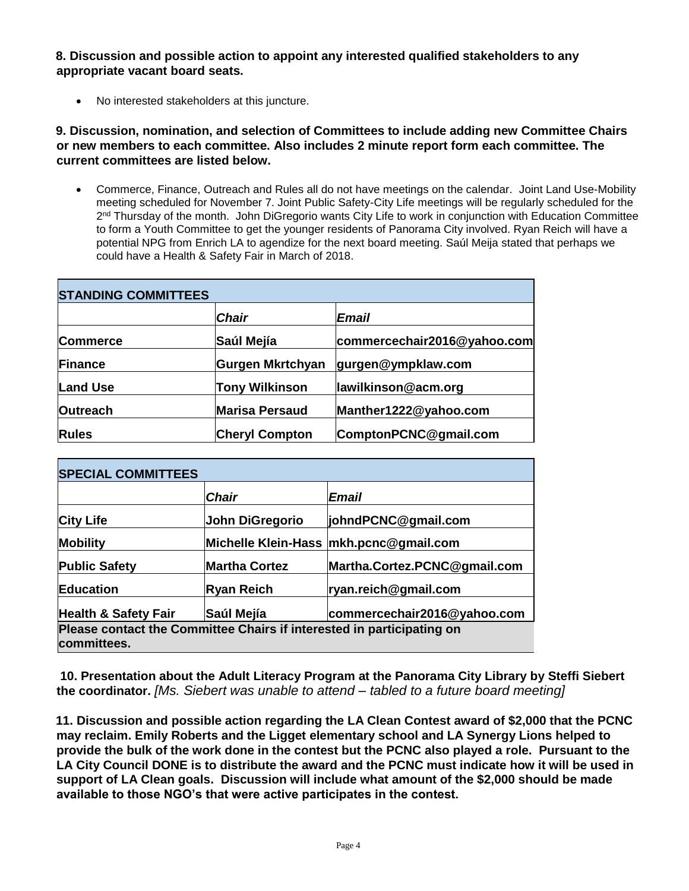**8. Discussion and possible action to appoint any interested qualified stakeholders to any appropriate vacant board seats.** 

• No interested stakeholders at this juncture.

#### **9. Discussion, nomination, and selection of Committees to include adding new Committee Chairs or new members to each committee. Also includes 2 minute report form each committee. The current committees are listed below.**

• Commerce, Finance, Outreach and Rules all do not have meetings on the calendar. Joint Land Use-Mobility meeting scheduled for November 7. Joint Public Safety-City Life meetings will be regularly scheduled for the 2<sup>nd</sup> Thursday of the month. John DiGregorio wants City Life to work in conjunction with Education Committee to form a Youth Committee to get the younger residents of Panorama City involved. Ryan Reich will have a potential NPG from Enrich LA to agendize for the next board meeting. Saúl Meija stated that perhaps we could have a Health & Safety Fair in March of 2018.

| <b>STANDING COMMITTEES</b> |                       |                             |
|----------------------------|-----------------------|-----------------------------|
|                            | <b>Chair</b>          | Email                       |
| <b>Commerce</b>            | Saúl Mejía            | commercechair2016@yahoo.com |
| Finance                    | Gurgen Mkrtchyan      | gurgen@ympklaw.com          |
| <b>Land Use</b>            | <b>Tony Wilkinson</b> | lawilkinson@acm.org         |
| <b>Outreach</b>            | <b>Marisa Persaud</b> | Manther1222@yahoo.com       |
| <b>Rules</b>               | <b>Cheryl Compton</b> | ComptonPCNC@gmail.com       |

| <b>SPECIAL COMMITTEES</b>                                                            |                      |                              |  |
|--------------------------------------------------------------------------------------|----------------------|------------------------------|--|
|                                                                                      | <b>Chair</b>         | Email                        |  |
| <b>City Life</b>                                                                     | John DiGregorio      | johndPCNC@gmail.com          |  |
| <b>Mobility</b>                                                                      | Michelle Klein-Hass  | mkh.pcnc@gmail.com           |  |
| <b>Public Safety</b>                                                                 | <b>Martha Cortez</b> | Martha.Cortez.PCNC@gmail.com |  |
| <b>Education</b>                                                                     | <b>Ryan Reich</b>    | ryan.reich@gmail.com         |  |
| <b>Health &amp; Safety Fair</b>                                                      | Saúl Mejía           | commercechair2016@yahoo.com  |  |
| Please contact the Committee Chairs if interested in participating on<br>committees. |                      |                              |  |

**10. Presentation about the Adult Literacy Program at the Panorama City Library by Steffi Siebert the coordinator.** *[Ms. Siebert was unable to attend – tabled to a future board meeting]*

**11. Discussion and possible action regarding the LA Clean Contest award of \$2,000 that the PCNC may reclaim. Emily Roberts and the Ligget elementary school and LA Synergy Lions helped to provide the bulk of the work done in the contest but the PCNC also played a role. Pursuant to the LA City Council DONE is to distribute the award and the PCNC must indicate how it will be used in support of LA Clean goals. Discussion will include what amount of the \$2,000 should be made available to those NGO's that were active participates in the contest.**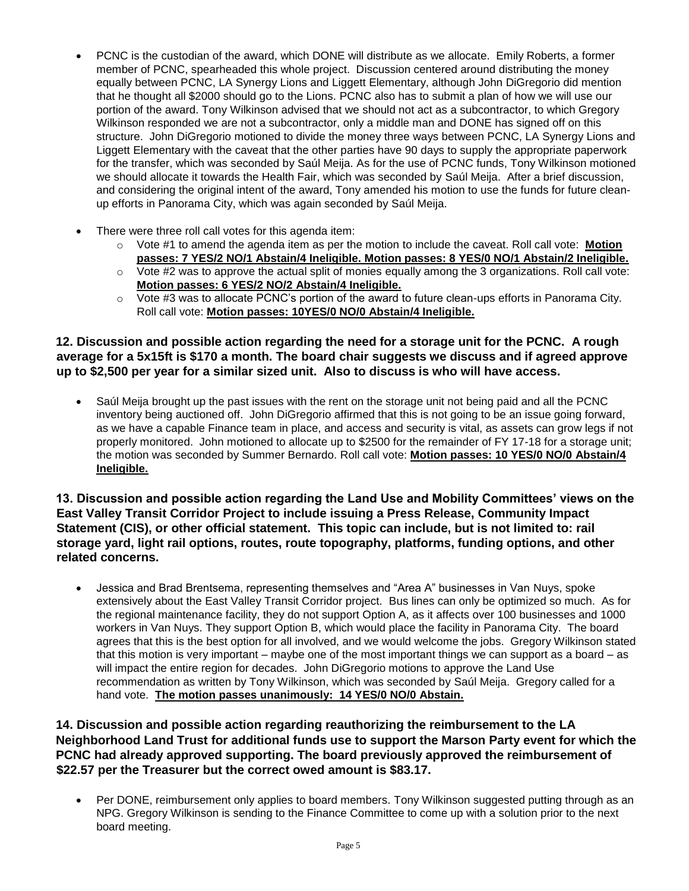- PCNC is the custodian of the award, which DONE will distribute as we allocate. Emily Roberts, a former member of PCNC, spearheaded this whole project. Discussion centered around distributing the money equally between PCNC, LA Synergy Lions and Liggett Elementary, although John DiGregorio did mention that he thought all \$2000 should go to the Lions. PCNC also has to submit a plan of how we will use our portion of the award. Tony Wilkinson advised that we should not act as a subcontractor, to which Gregory Wilkinson responded we are not a subcontractor, only a middle man and DONE has signed off on this structure. John DiGregorio motioned to divide the money three ways between PCNC, LA Synergy Lions and Liggett Elementary with the caveat that the other parties have 90 days to supply the appropriate paperwork for the transfer, which was seconded by Saúl Meija. As for the use of PCNC funds, Tony Wilkinson motioned we should allocate it towards the Health Fair, which was seconded by Saúl Meija. After a brief discussion, and considering the original intent of the award, Tony amended his motion to use the funds for future cleanup efforts in Panorama City, which was again seconded by Saúl Meija.
- There were three roll call votes for this agenda item:
	- o Vote #1 to amend the agenda item as per the motion to include the caveat. Roll call vote: **Motion passes: 7 YES/2 NO/1 Abstain/4 Ineligible. Motion passes: 8 YES/0 NO/1 Abstain/2 Ineligible.**
	- $\circ$  Vote #2 was to approve the actual split of monies equally among the 3 organizations. Roll call vote: **Motion passes: 6 YES/2 NO/2 Abstain/4 Ineligible.**
	- $\circ$  Vote #3 was to allocate PCNC's portion of the award to future clean-ups efforts in Panorama City. Roll call vote: **Motion passes: 10YES/0 NO/0 Abstain/4 Ineligible.**

#### **12. Discussion and possible action regarding the need for a storage unit for the PCNC. A rough average for a 5x15ft is \$170 a month. The board chair suggests we discuss and if agreed approve up to \$2,500 per year for a similar sized unit. Also to discuss is who will have access.**

• Saúl Meija brought up the past issues with the rent on the storage unit not being paid and all the PCNC inventory being auctioned off. John DiGregorio affirmed that this is not going to be an issue going forward, as we have a capable Finance team in place, and access and security is vital, as assets can grow legs if not properly monitored. John motioned to allocate up to \$2500 for the remainder of FY 17-18 for a storage unit; the motion was seconded by Summer Bernardo. Roll call vote: **Motion passes: 10 YES/0 NO/0 Abstain/4 Ineligible.**

#### **13. Discussion and possible action regarding the Land Use and Mobility Committees' views on the East Valley Transit Corridor Project to include issuing a Press Release, Community Impact Statement (CIS), or other official statement. This topic can include, but is not limited to: rail storage yard, light rail options, routes, route topography, platforms, funding options, and other related concerns.**

• Jessica and Brad Brentsema, representing themselves and "Area A" businesses in Van Nuys, spoke extensively about the East Valley Transit Corridor project. Bus lines can only be optimized so much. As for the regional maintenance facility, they do not support Option A, as it affects over 100 businesses and 1000 workers in Van Nuys. They support Option B, which would place the facility in Panorama City. The board agrees that this is the best option for all involved, and we would welcome the jobs. Gregory Wilkinson stated that this motion is very important – maybe one of the most important things we can support as a board – as will impact the entire region for decades. John DiGregorio motions to approve the Land Use recommendation as written by Tony Wilkinson, which was seconded by Saúl Meija. Gregory called for a hand vote. **The motion passes unanimously: 14 YES/0 NO/0 Abstain.**

#### **14. Discussion and possible action regarding reauthorizing the reimbursement to the LA Neighborhood Land Trust for additional funds use to support the Marson Party event for which the PCNC had already approved supporting. The board previously approved the reimbursement of \$22.57 per the Treasurer but the correct owed amount is \$83.17.**

• Per DONE, reimbursement only applies to board members. Tony Wilkinson suggested putting through as an NPG. Gregory Wilkinson is sending to the Finance Committee to come up with a solution prior to the next board meeting.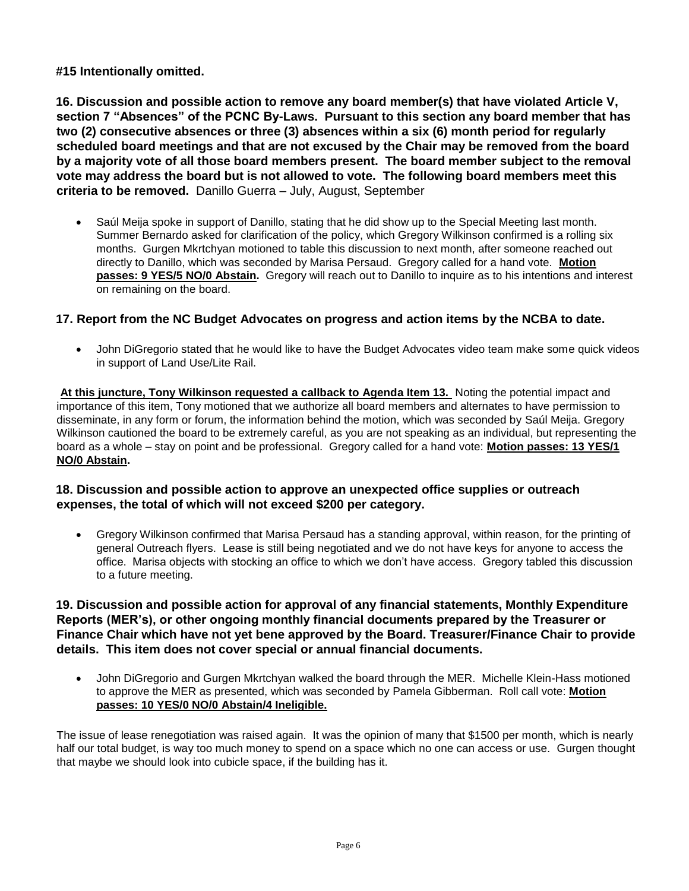**#15 Intentionally omitted.** 

**16. Discussion and possible action to remove any board member(s) that have violated Article V, section 7 "Absences" of the PCNC By-Laws. Pursuant to this section any board member that has two (2) consecutive absences or three (3) absences within a six (6) month period for regularly scheduled board meetings and that are not excused by the Chair may be removed from the board by a majority vote of all those board members present. The board member subject to the removal vote may address the board but is not allowed to vote. The following board members meet this criteria to be removed.** Danillo Guerra – July, August, September

• Saúl Meija spoke in support of Danillo, stating that he did show up to the Special Meeting last month. Summer Bernardo asked for clarification of the policy, which Gregory Wilkinson confirmed is a rolling six months. Gurgen Mkrtchyan motioned to table this discussion to next month, after someone reached out directly to Danillo, which was seconded by Marisa Persaud. Gregory called for a hand vote. **Motion passes: 9 YES/5 NO/0 Abstain.** Gregory will reach out to Danillo to inquire as to his intentions and interest on remaining on the board.

#### **17. Report from the NC Budget Advocates on progress and action items by the NCBA to date.**

• John DiGregorio stated that he would like to have the Budget Advocates video team make some quick videos in support of Land Use/Lite Rail.

**At this juncture, Tony Wilkinson requested a callback to Agenda Item 13.** Noting the potential impact and importance of this item, Tony motioned that we authorize all board members and alternates to have permission to disseminate, in any form or forum, the information behind the motion, which was seconded by Saúl Meija. Gregory Wilkinson cautioned the board to be extremely careful, as you are not speaking as an individual, but representing the board as a whole – stay on point and be professional. Gregory called for a hand vote: **Motion passes: 13 YES/1 NO/0 Abstain.**

#### **18. Discussion and possible action to approve an unexpected office supplies or outreach expenses, the total of which will not exceed \$200 per category.**

• Gregory Wilkinson confirmed that Marisa Persaud has a standing approval, within reason, for the printing of general Outreach flyers. Lease is still being negotiated and we do not have keys for anyone to access the office. Marisa objects with stocking an office to which we don't have access. Gregory tabled this discussion to a future meeting.

#### **19. Discussion and possible action for approval of any financial statements, Monthly Expenditure Reports (MER's), or other ongoing monthly financial documents prepared by the Treasurer or Finance Chair which have not yet bene approved by the Board. Treasurer/Finance Chair to provide details. This item does not cover special or annual financial documents.**

• John DiGregorio and Gurgen Mkrtchyan walked the board through the MER. Michelle Klein-Hass motioned to approve the MER as presented, which was seconded by Pamela Gibberman. Roll call vote: **Motion passes: 10 YES/0 NO/0 Abstain/4 Ineligible.**

The issue of lease renegotiation was raised again. It was the opinion of many that \$1500 per month, which is nearly half our total budget, is way too much money to spend on a space which no one can access or use. Gurgen thought that maybe we should look into cubicle space, if the building has it.